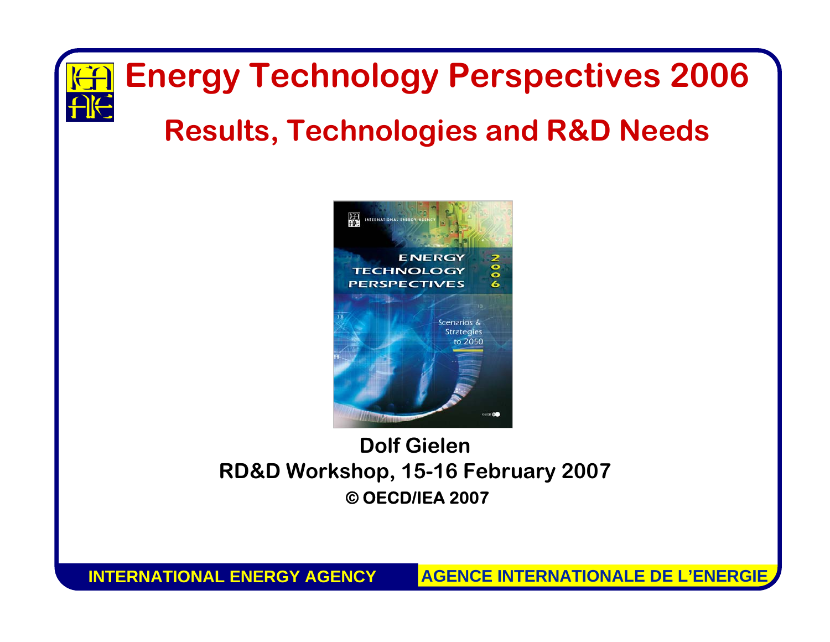## **Energy Technology Perspectives 2006**

#### **Results, Technologies and R&D Needs**



#### **Dolf GielenRD&D Workshop, 15-16 February 2007 ©OECD/IEA 2007**

**INTERNATIONAL ENERGY AGENCY**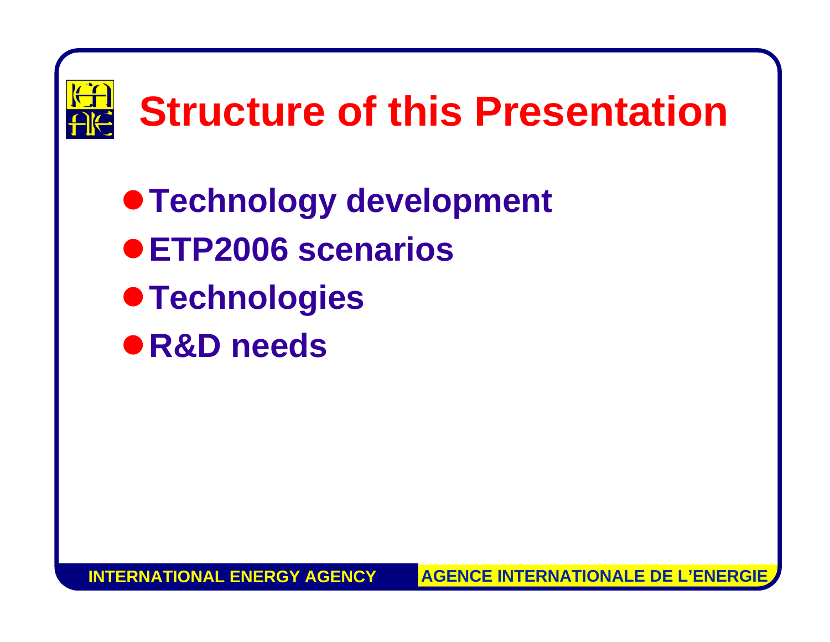

 $\bullet$  **Technology development** z**ETP2006 scenarios**   $\bullet$  **Technologies** z**R&D needs**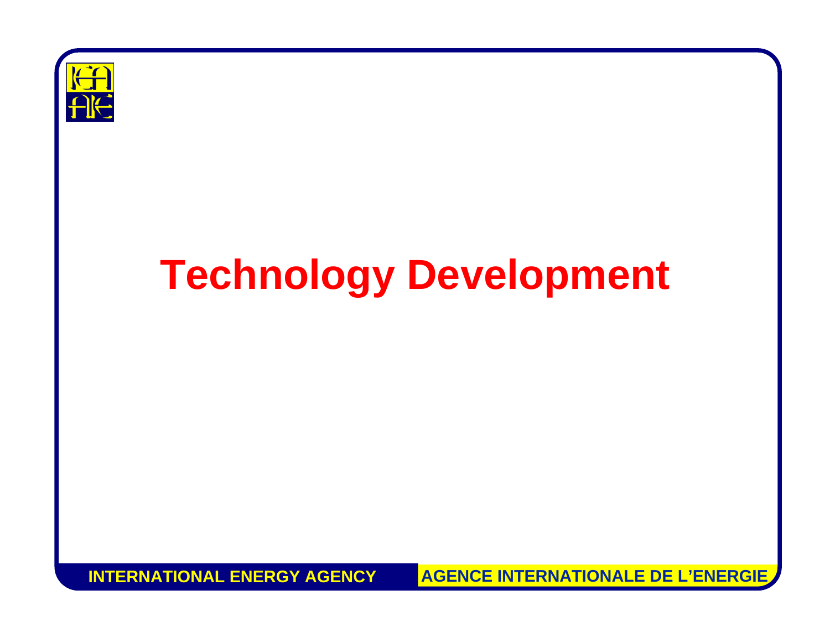

## **Technology Development**

**INTERNATIONAL ENERGY AGENCY**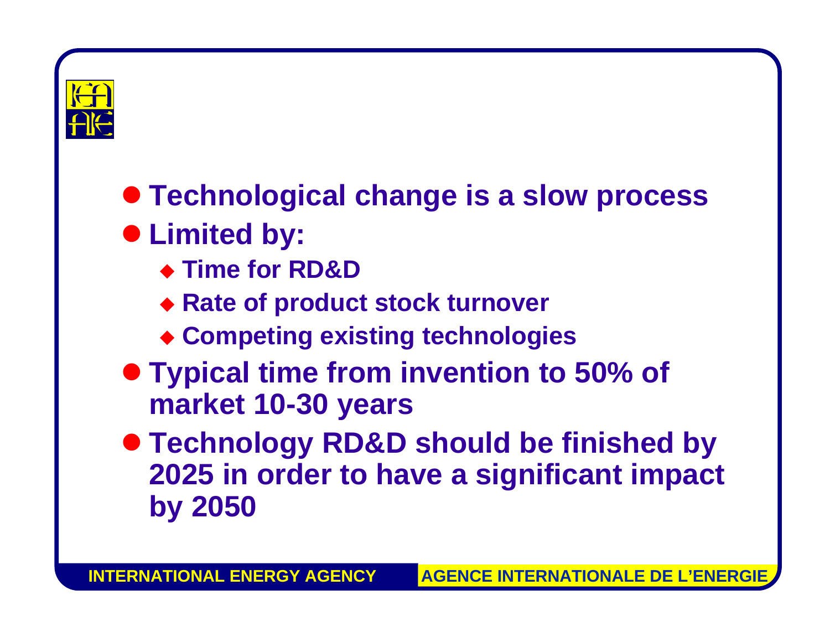

#### **• Technological change is a slow process**

#### **• Limited by:**

- ◆ Time for RD&D
- **Rate of product stock turnover**
- **Competing existing technologies**
- **Typical time from invention to 50% of market 10-30 years**
- **Technology RD&D should be finished by 2025 in order to have a significant impact by 2050**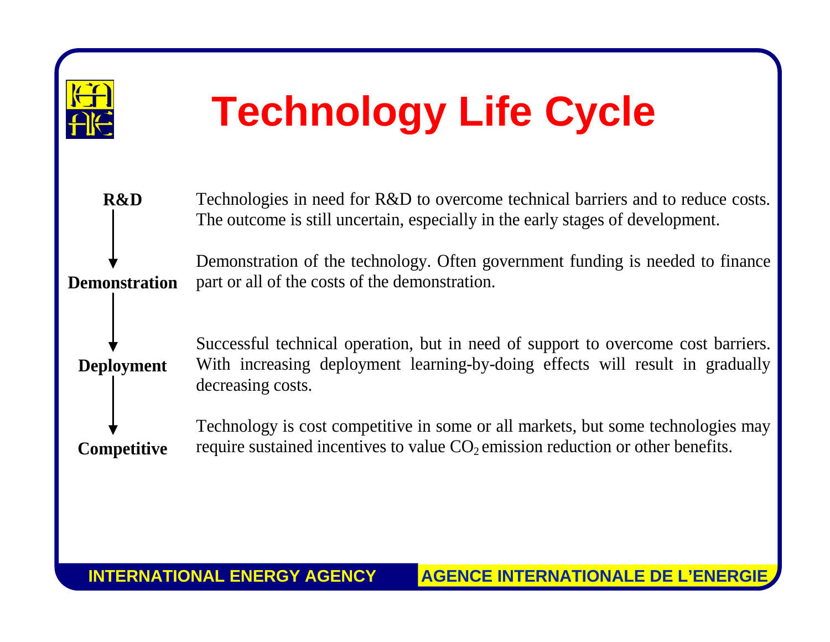

## **Technology Life Cycle**

| <b>R&amp;D</b>       | Technologies in need for R&D to overcome technical barriers and to reduce costs.<br>The outcome is still uncertain, especially in the early stages of development.                      |
|----------------------|-----------------------------------------------------------------------------------------------------------------------------------------------------------------------------------------|
| <b>Demonstration</b> | Demonstration of the technology. Often government funding is needed to finance<br>part or all of the costs of the demonstration.                                                        |
| <b>Deployment</b>    | Successful technical operation, but in need of support to overcome cost barriers.<br>With increasing deployment learning-by-doing effects will result in gradually<br>decreasing costs. |
| <b>Competitive</b>   | Technology is cost competitive in some or all markets, but some technologies may<br>require sustained incentives to value $CO2$ emission reduction or other benefits.                   |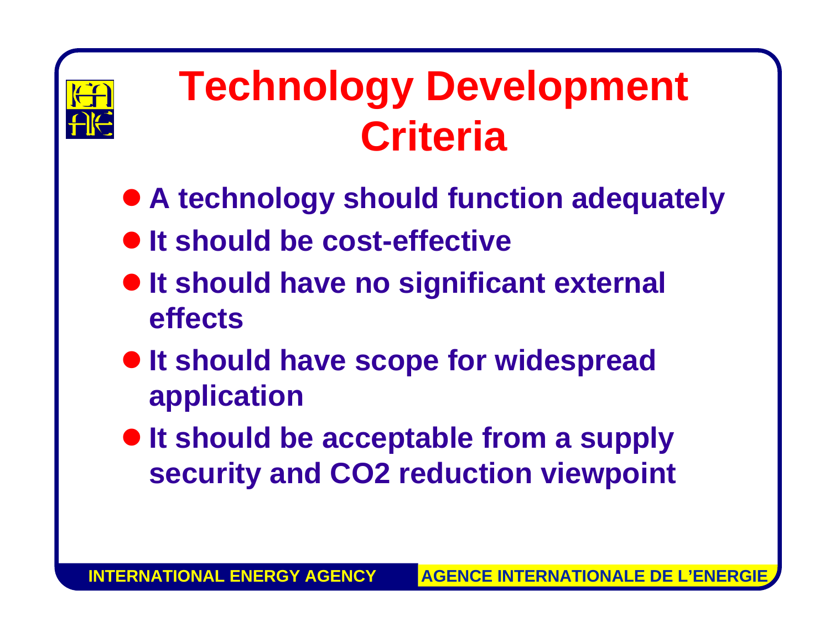

## **Technology Development Criteria**

- **A technology should function adequately**
- **It should be cost-effective**
- $\bullet$  **It should have no significant external effects**
- $\bullet$  **It should have scope for widespread application**
- **It should be acceptable from a supply security and CO2 reduction viewpoint**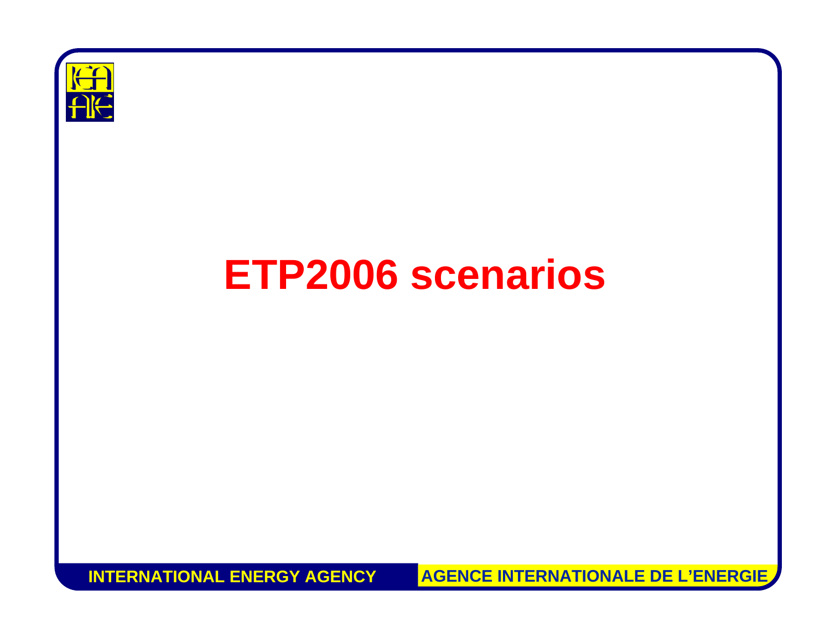

#### **ETP2006 scenarios**

**INTERNATIONAL ENERGY AGENCY**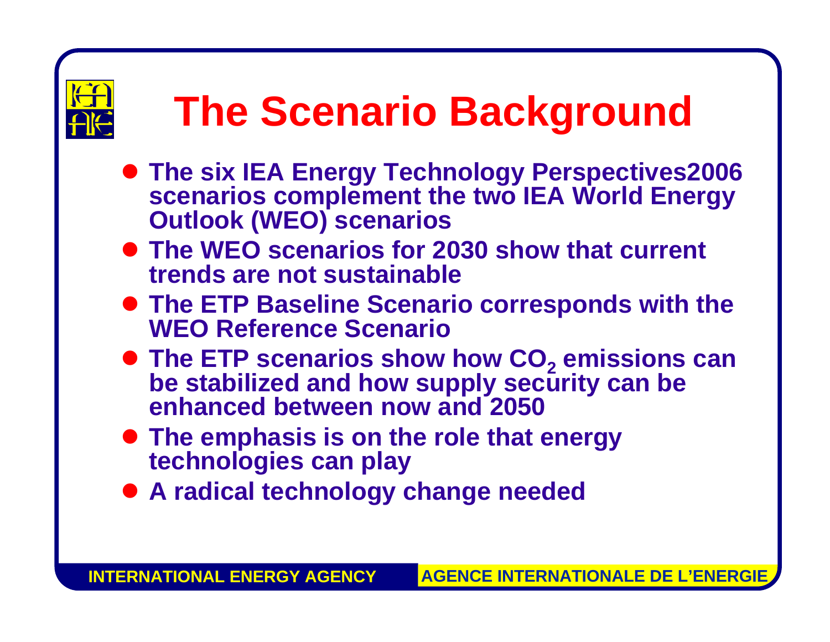

## **The Scenario Background**

- **The six IEA Energy Technology Perspectives2006 scenarios complement the two IEA World Energy Outlook (WEO) scenarios**
- **The WEO scenarios for 2030 show that current trends are not sustainable**
- **The ETP Baseline Scenario corresponds with the WEO Reference Scenario**
- **The ETP scenarios show how CO<sub>2</sub>** be stabilized and how supply security can be **enhanced between now and 2050**
- **The emphasis is on the role that energy technologies can play**
- **A radical technology change needed**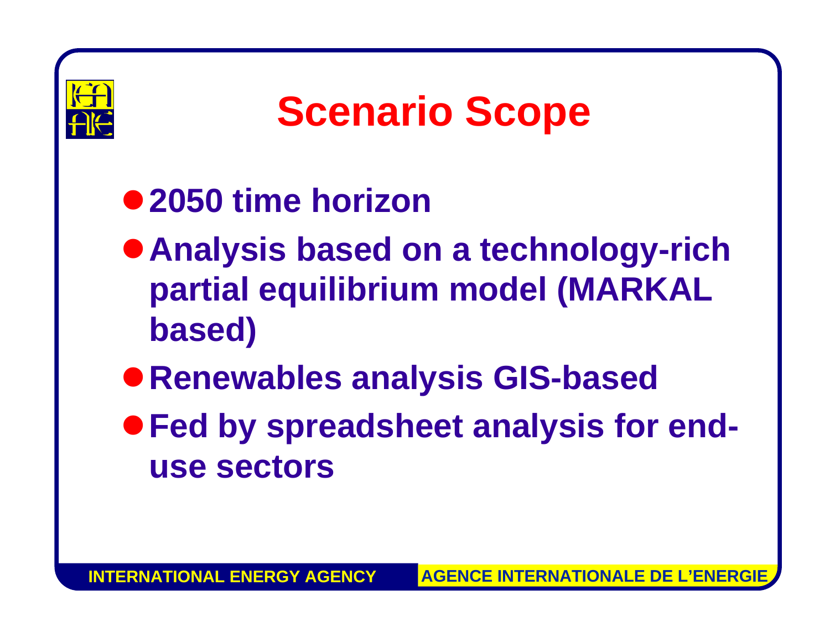

## **Scenario Scope**

#### z**2050 time horizon**

- **Analysis based on a technology-rich partial equilibrium model (MARKAL based)**
- z**Renewables analysis GIS-based**
- **Fed by spreadsheet analysis for enduse sectors**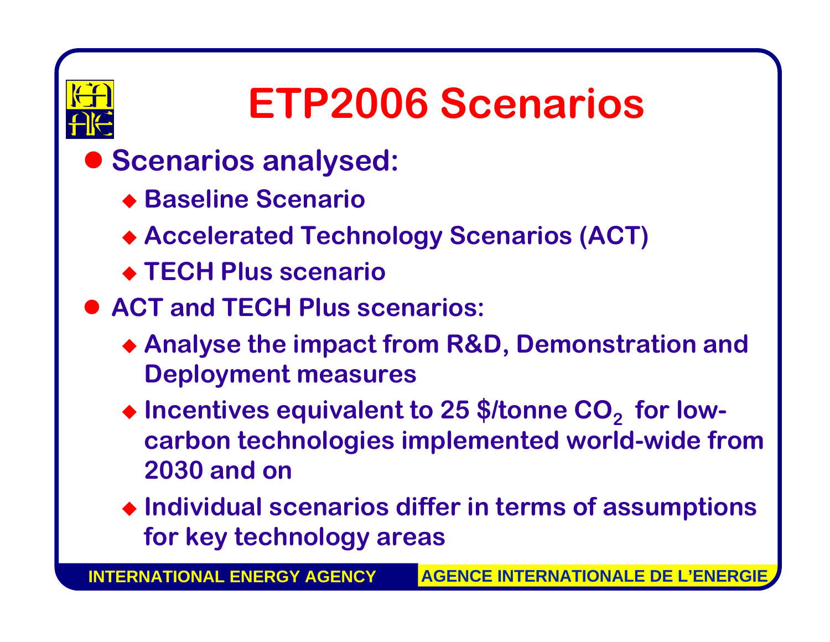

### **ETP2006 Scenarios**

- $\bullet$  **Scenarios analysed:** 
	- **Baseline Scenario**
	- **Accelerated Technology Scenarios (ACT)**
	- **TECH Plus scenario**
- **ACT and TECH Plus scenarios:** 
	- **Analyse the impact from R&D, Demonstration and Deployment measures**
	- ◆ Incentives equivalent to 25 \$/tonne CO<sub>2</sub> for low**carbon technologies implemented world-wide from 2030 and on**
	- **Individual scenarios differ in terms of assumptions for key technology areas**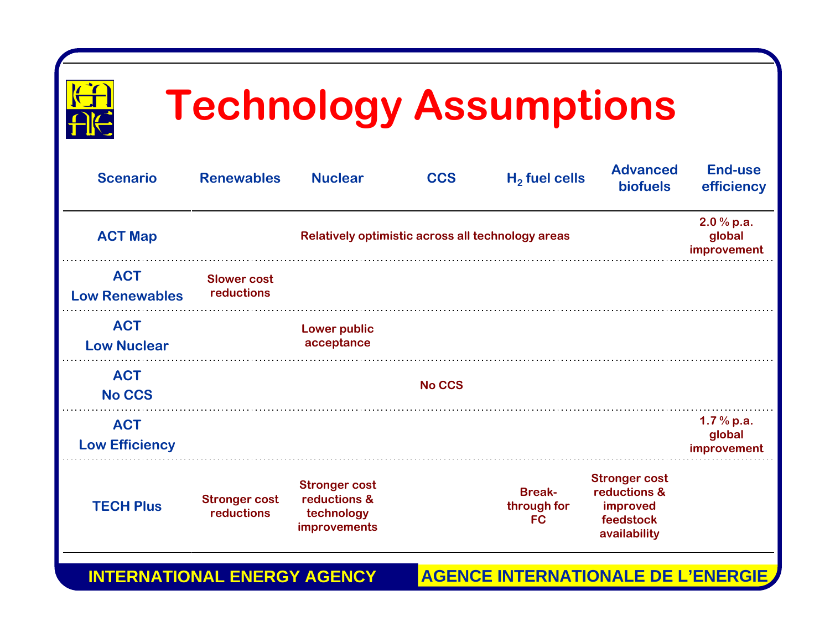

## **Technology Assumptions**

| <b>Scenario</b>                     | <b>Renewables</b>                  | <b>Nuclear</b>                                                            | <b>CCS</b>    | $H2$ fuel cells                           | <b>Advanced</b><br><b>biofuels</b>                                            | <b>End-use</b><br>efficiency         |
|-------------------------------------|------------------------------------|---------------------------------------------------------------------------|---------------|-------------------------------------------|-------------------------------------------------------------------------------|--------------------------------------|
| <b>ACT Map</b>                      |                                    | Relatively optimistic across all technology areas                         |               |                                           |                                                                               | 2.0 % p.a.<br>global<br>improvement  |
| <b>ACT</b><br><b>Low Renewables</b> | <b>Slower cost</b><br>reductions   |                                                                           |               |                                           |                                                                               |                                      |
| <b>ACT</b><br><b>Low Nuclear</b>    |                                    | <b>Lower public</b><br>acceptance                                         |               |                                           |                                                                               |                                      |
| <b>ACT</b><br><b>No CCS</b>         |                                    |                                                                           | <b>No CCS</b> |                                           |                                                                               |                                      |
| <b>ACT</b><br><b>Low Efficiency</b> |                                    |                                                                           |               |                                           |                                                                               | $1.7%$ p.a.<br>global<br>improvement |
| <b>TECH Plus</b>                    | <b>Stronger cost</b><br>reductions | <b>Stronger cost</b><br>reductions &<br>technology<br><b>improvements</b> |               | <b>Break-</b><br>through for<br><b>FC</b> | <b>Stronger cost</b><br>reductions &<br>improved<br>feedstock<br>availability |                                      |

**INTERNATIONAL ENERGY AGENCYAGENCE INTERNATIONALE DE L'ENERGIE**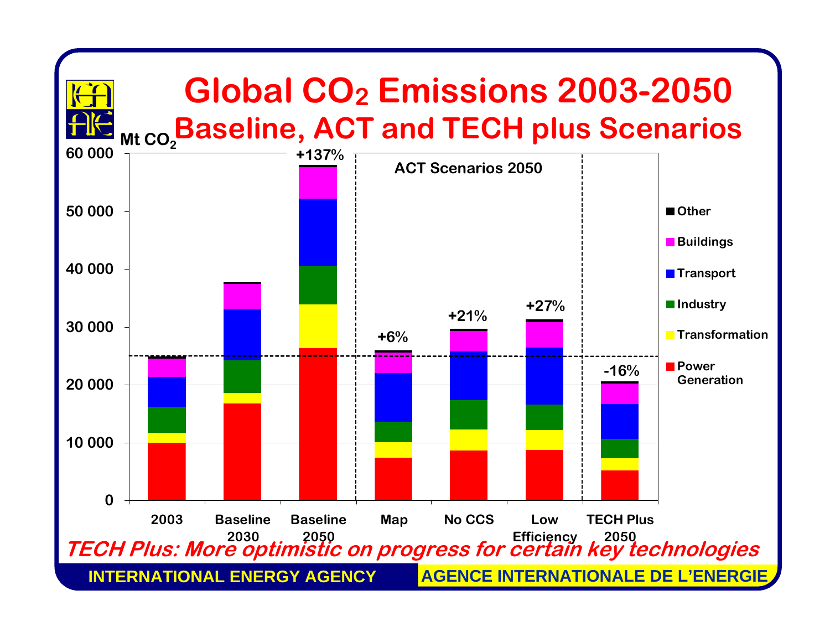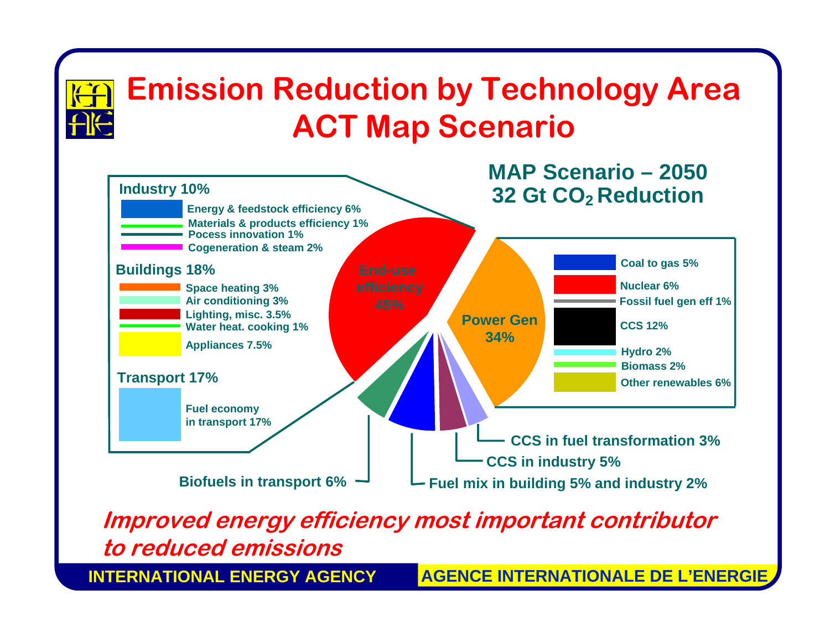

**INTERNATIONAL ENERGY AGENCY**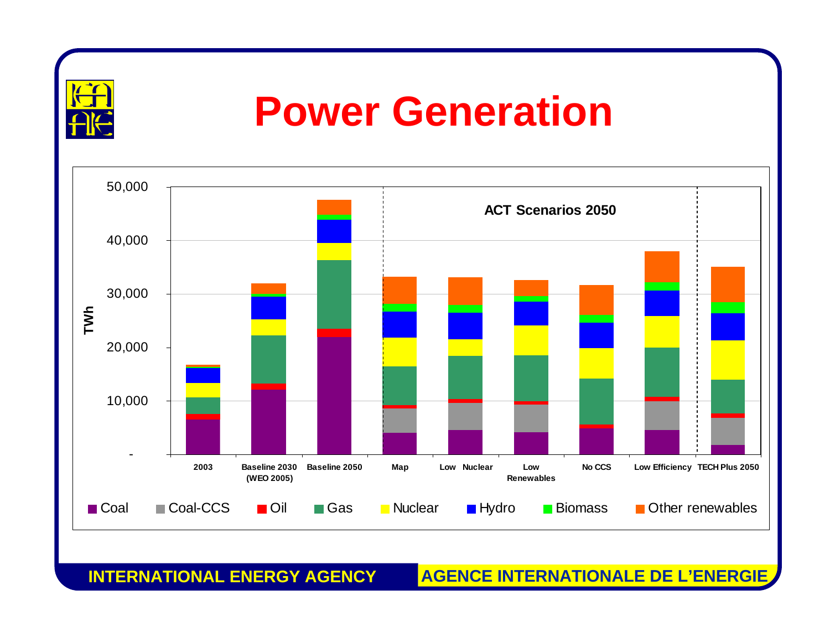

#### **Power Generation**



**INTERNATIONAL ENERGY AGENCY**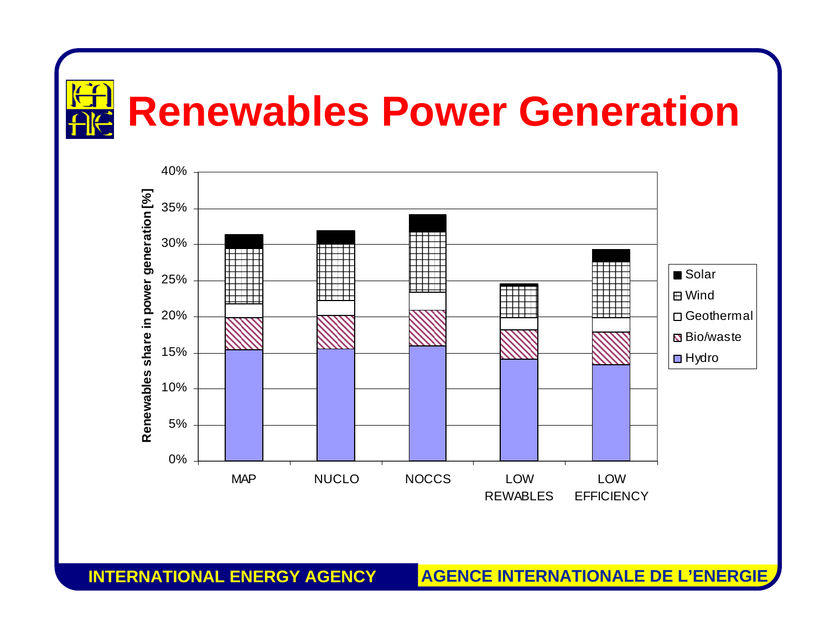



**INTERNATIONAL ENERGY AGENCY**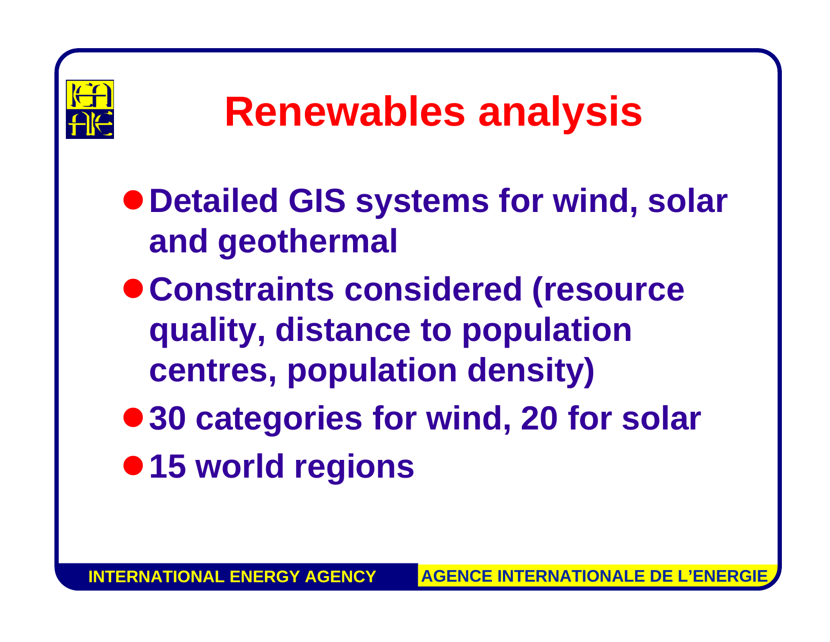

## **Renewables analysis**

- $\bullet$  **Detailed GIS systems for wind, solar and geothermal**
- <sup>z</sup>**Constraints considered (resource quality, distance to population centres, population density)**
- 30 categories for wind, 20 for solar  $• 15$  **world regions**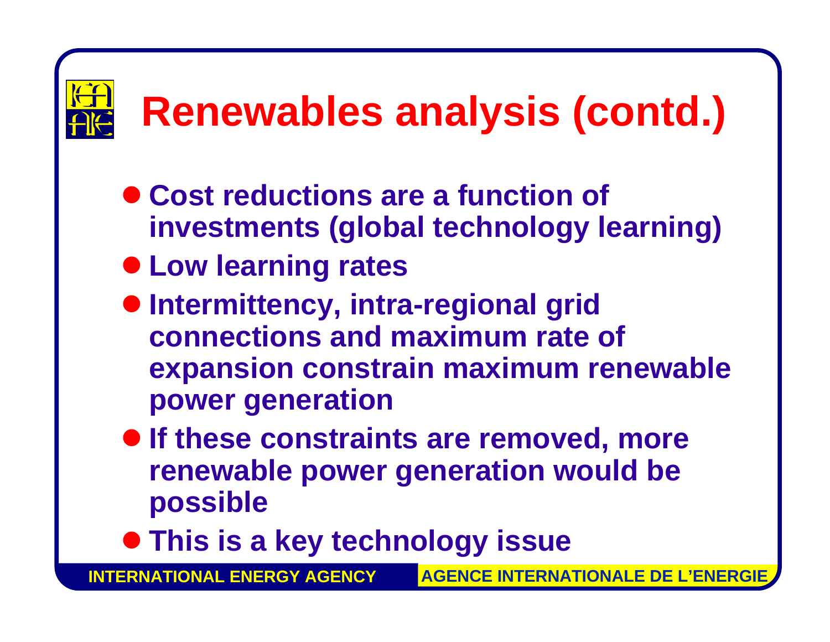## **Renewables analysis (contd.)**

- **Cost reductions are a function of investments (global technology learning)**
- $\bullet$  **Low learning rates**
- $\bullet$  **Intermittency, intra-regional grid connections and maximum rate of expansion constrain maximum renewable power generation**
- **If these constraints are removed, more renewable power generation would be possible**
- $\bullet$  **This is a key technology issue**

**INTERNATIONAL ENERGY AGENCY**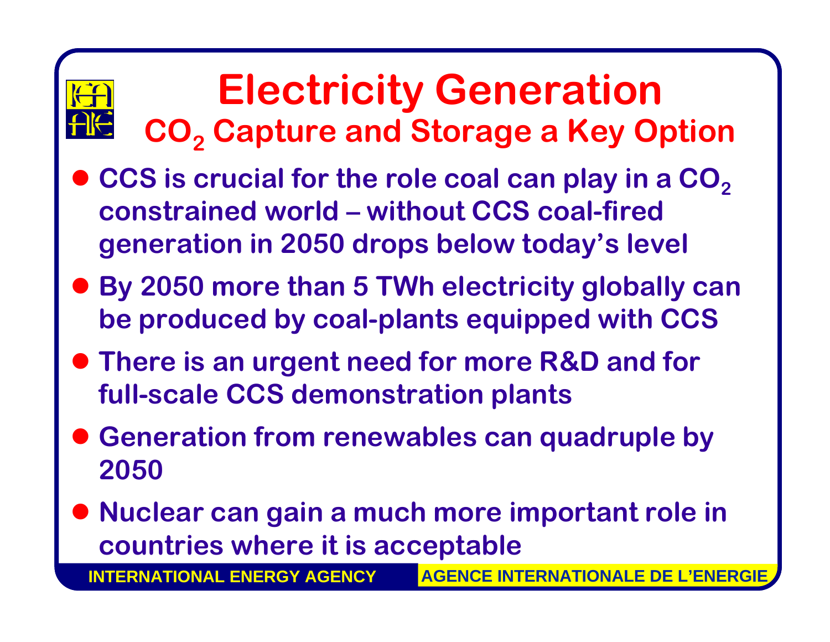#### **Electricity Generation CO 2 Capture and Storage a Key Option**

- $\bullet$  **CCS is crucial for the role coal can play in a CO 2constrained world –without CCS coal-fired generation in 2050 drops below today's level**
- $\bullet$  **By 2050 more than 5 TWh electricity globally can be produced by coal-plants equipped with CCS**
- **There is an urgent need for more R&D and for full-scale CCS demonstration plants**
- $\bullet$  **Generation from renewables can quadruple by 2050**
- $\bullet$  **Nuclear can gain a much more important role in countries where it is acceptable**

**INTERNATIONAL ENERGY AGENCY**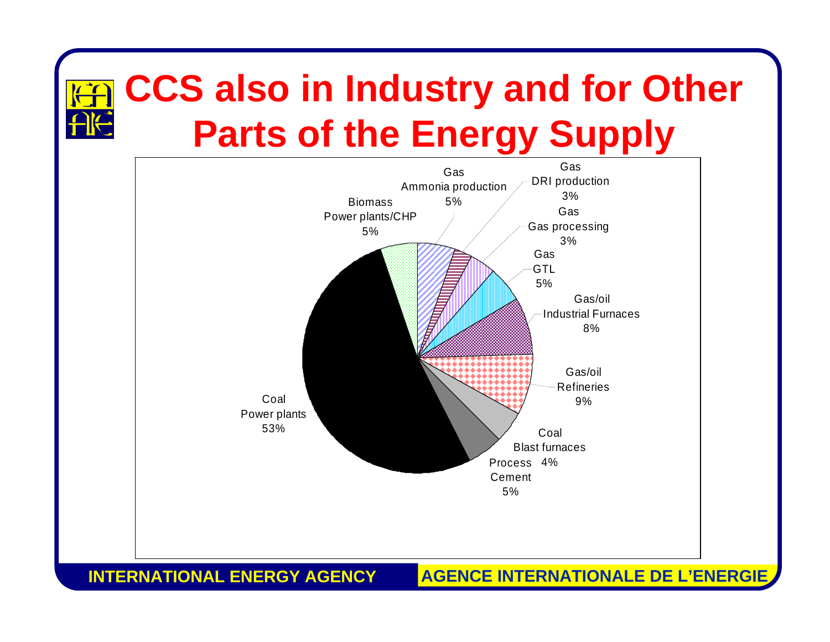#### **CCS also in Industry and for Other Parts of the Energy Supply**



**INTERNATIONAL ENERGY AGENCY**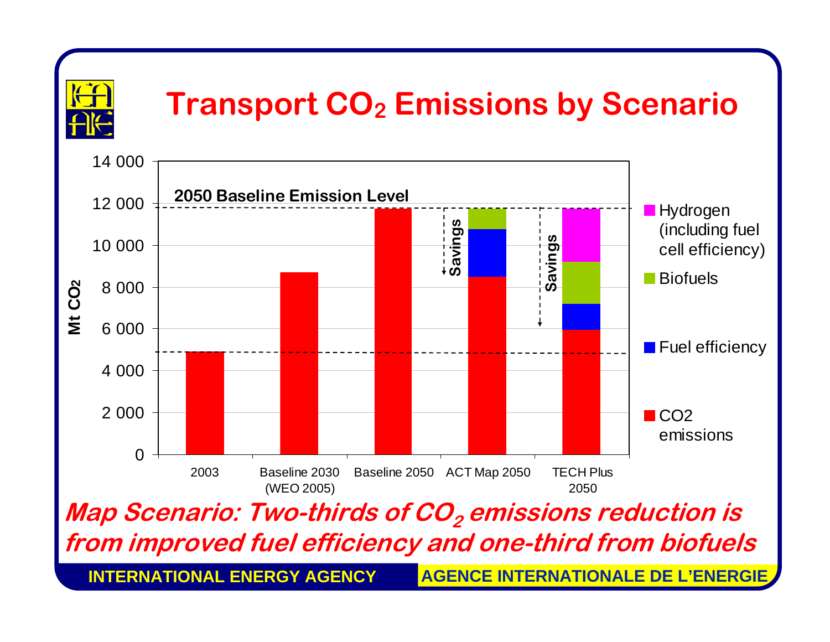

#### **Transport CO<sub>2</sub> Emissions by Scenario**

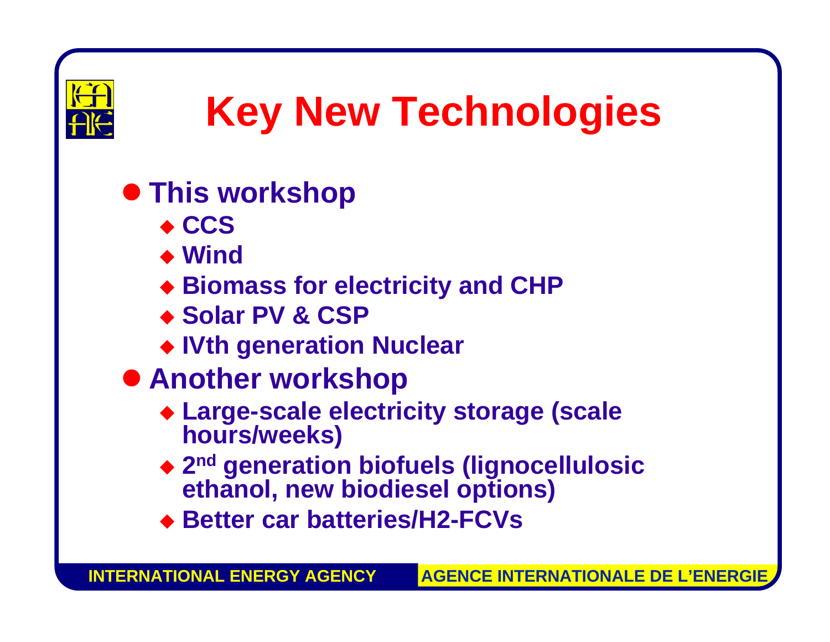

## **Key New Technologies**

#### **• This workshop**

- ◆ CCS
- ◆ Wind
- **Biomass for electricity and CHP**
- ◆ Solar PV & CSP
- **IVth generation Nuclear**
- $\bullet$  **Another workshop** 
	- **Large-scale electricity storage (scale hours/weeks)**
	- **2nd generation biofuels (lignocellulosic ethanol, new biodiesel options)**
	- **Better car batteries/H2-FCVs**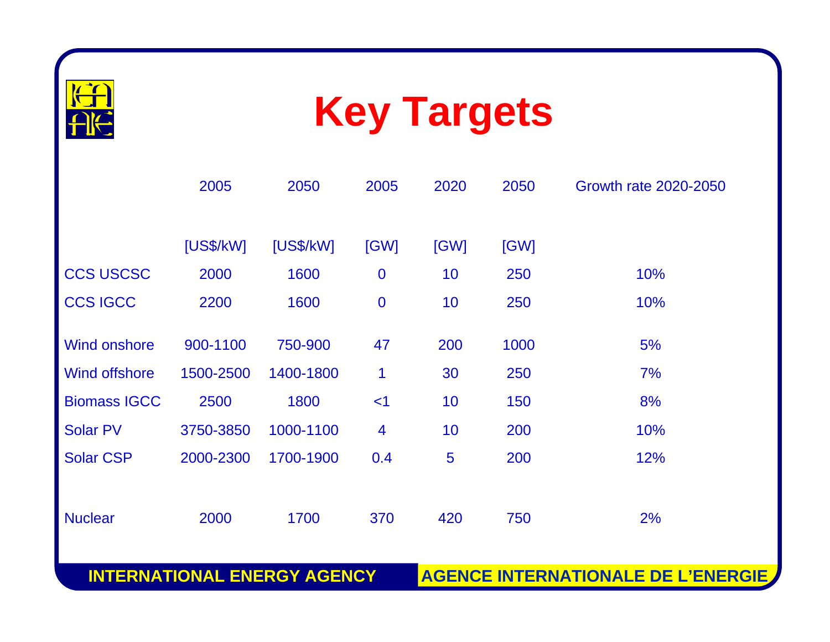



|                      | 2005      | 2050      | 2005             | 2020 | 2050 | Growth rate 2020-2050 |
|----------------------|-----------|-----------|------------------|------|------|-----------------------|
|                      | [US\$/kW] | [US\$/kW] | [GW]             | [GW] | [GW] |                       |
| <b>CCS USCSC</b>     | 2000      | 1600      | $\bf{0}$         | 10   | 250  | 10%                   |
| <b>CCS IGCC</b>      | 2200      | 1600      | $\boldsymbol{0}$ | 10   | 250  | 10%                   |
| <b>Wind onshore</b>  | 900-1100  | 750-900   | 47               | 200  | 1000 | 5%                    |
| <b>Wind offshore</b> | 1500-2500 | 1400-1800 | 1                | 30   | 250  | 7%                    |
| <b>Biomass IGCC</b>  | 2500      | 1800      | $<$ 1            | 10   | 150  | 8%                    |
| <b>Solar PV</b>      | 3750-3850 | 1000-1100 | $\overline{4}$   | 10   | 200  | 10%                   |
| <b>Solar CSP</b>     | 2000-2300 | 1700-1900 | 0.4              | 5    | 200  | 12%                   |
|                      |           |           |                  |      |      |                       |
| <b>Nuclear</b>       | 2000      | 1700      | 370              | 420  | 750  | 2%                    |

**INTERNATIONAL ENERGY AGENCY**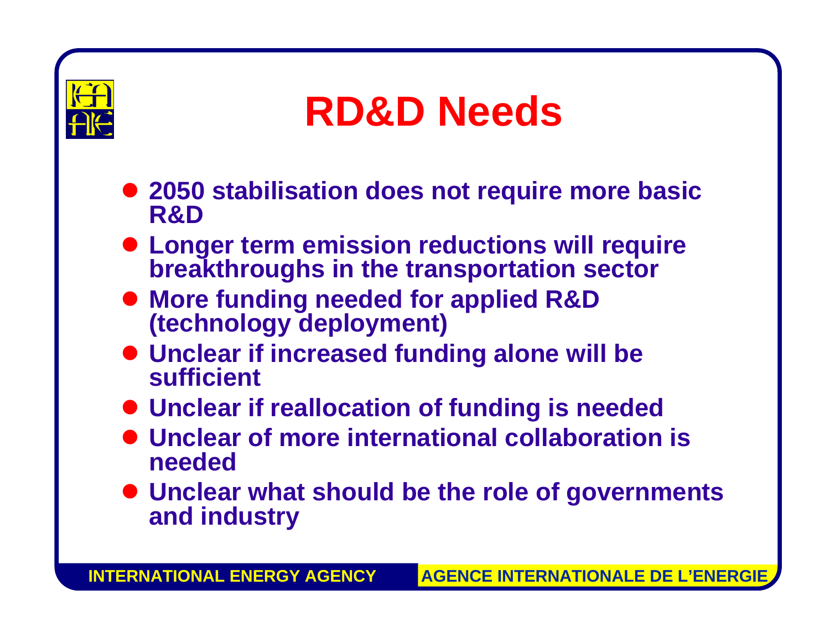

#### **RD&D Needs**

- 2050 stabilisation does not require more basic **R&D**
- $\bullet$  **Longer term emission reductions will require breakthroughs in the transportation sector**
- **More funding needed for applied R&D (technology deployment)**
- **Unclear if increased funding alone will be sufficient**
- $\bullet$  **Unclear if reallocation of funding is needed**
- **Unclear of more international collaboration is needed**
- $\bullet$  **Unclear what should be the role of governments and industry**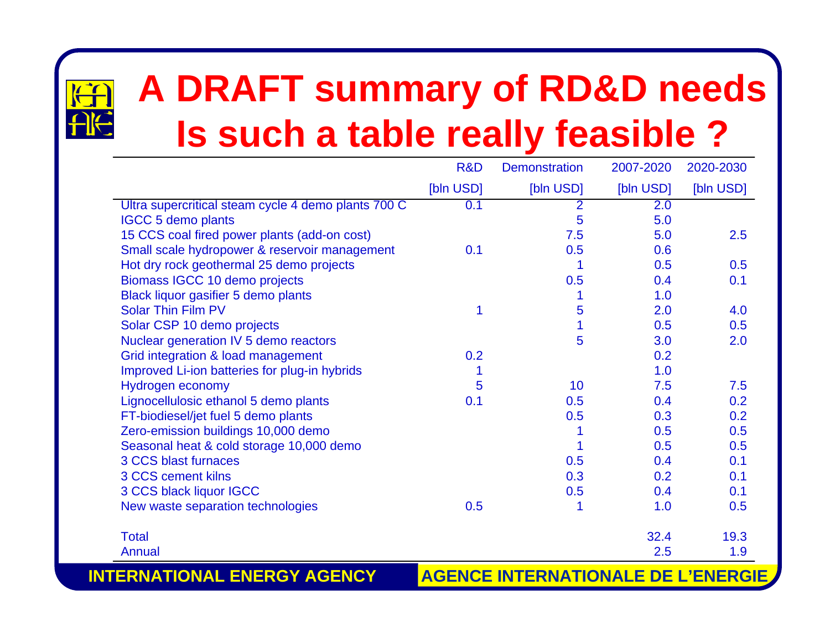# $\overline{H}$

#### **A DRAFT summary of RD&D needs Is such a table really feasible ?**

|                                                     | R&D       | <b>Demonstration</b> | 2007-2020 | 2020-2030 |
|-----------------------------------------------------|-----------|----------------------|-----------|-----------|
|                                                     | [bln USD] | [bln USD]            | [bln USD] | [bln USD] |
| Ultra supercritical steam cycle 4 demo plants 700 C | 0.1       | $\overline{2}$       | 2.0       |           |
| <b>IGCC 5 demo plants</b>                           |           | 5                    | 5.0       |           |
| 15 CCS coal fired power plants (add-on cost)        |           | 7.5                  | 5.0       | 2.5       |
| Small scale hydropower & reservoir management       | 0.1       | 0.5                  | 0.6       |           |
| Hot dry rock geothermal 25 demo projects            |           | 1                    | 0.5       | 0.5       |
| Biomass IGCC 10 demo projects                       |           | 0.5                  | 0.4       | 0.1       |
| Black liquor gasifier 5 demo plants                 |           |                      | 1.0       |           |
| <b>Solar Thin Film PV</b>                           | 1         | 5                    | 2.0       | 4.0       |
| Solar CSP 10 demo projects                          |           | 1                    | 0.5       | 0.5       |
| Nuclear generation IV 5 demo reactors               |           | 5                    | 3.0       | 2.0       |
| Grid integration & load management                  | 0.2       |                      | 0.2       |           |
| Improved Li-ion batteries for plug-in hybrids       |           |                      | 1.0       |           |
| Hydrogen economy                                    | 5         | 10                   | 7.5       | 7.5       |
| Lignocellulosic ethanol 5 demo plants               | 0.1       | 0.5                  | 0.4       | 0.2       |
| FT-biodiesel/jet fuel 5 demo plants                 |           | 0.5                  | 0.3       | 0.2       |
| Zero-emission buildings 10,000 demo                 |           |                      | 0.5       | 0.5       |
| Seasonal heat & cold storage 10,000 demo            |           |                      | 0.5       | 0.5       |
| 3 CCS blast furnaces                                |           | 0.5                  | 0.4       | 0.1       |
| 3 CCS cement kilns                                  |           | 0.3                  | 0.2       | 0.1       |
| 3 CCS black liquor IGCC                             |           | 0.5                  | 0.4       | 0.1       |
| New waste separation technologies                   | 0.5       | 1                    | 1.0       | 0.5       |
| <b>Total</b>                                        |           |                      | 32.4      | 19.3      |
| Annual                                              |           |                      | 2.5       | 1.9       |

**INTERNATIONAL ENERGY AGENCY**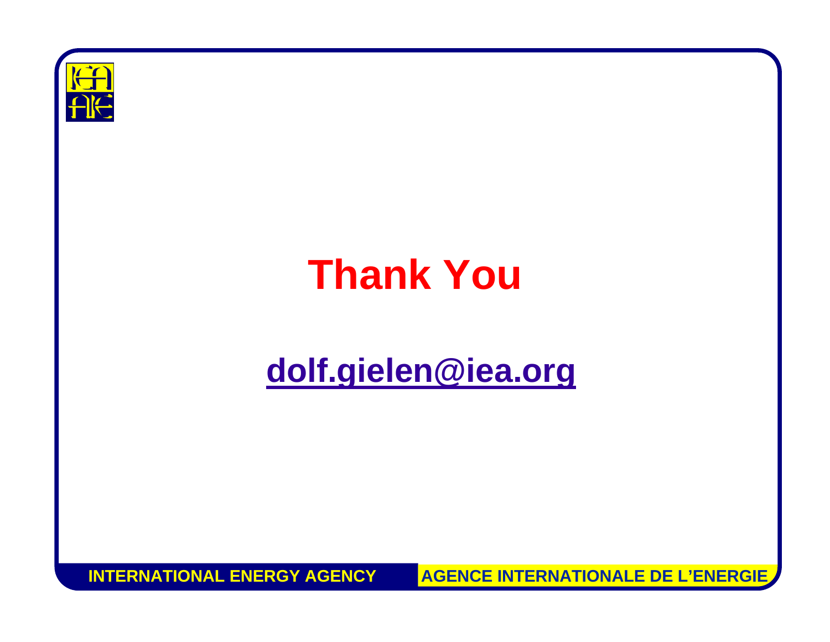

#### **Thank You**

#### **[dolf.gielen@iea.org](mailto:dolf.gielen@iea.org)**

**INTERNATIONAL ENERGY AGENCYAGENCE INTERNATIONALE DE L'ENERGIE**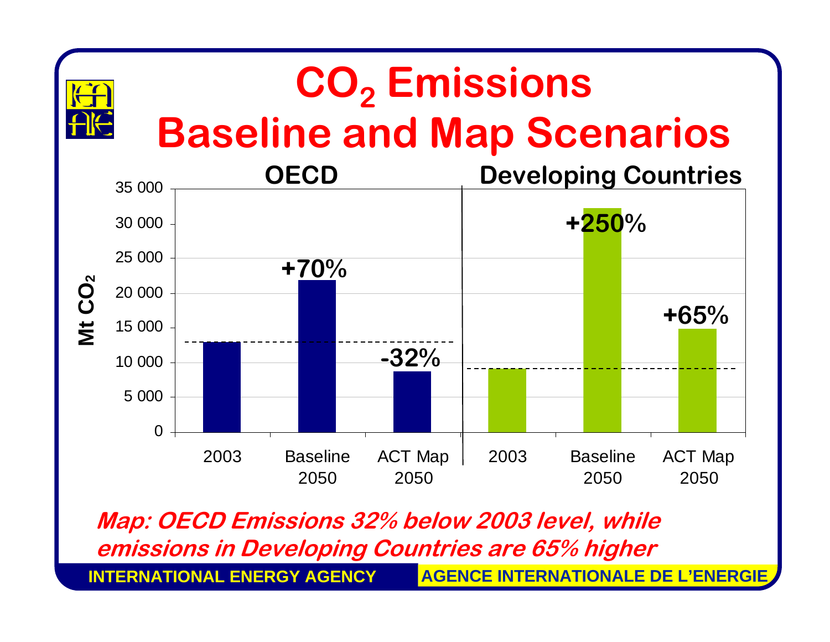#### **CO 2 Emissions Baseline and Map Scenarios**



**Map: OECD Emissions 32% below 2003 level, while emissions in Developing Countries are 65% higher**

**INTERNATIONAL ENERGY AGENCY**